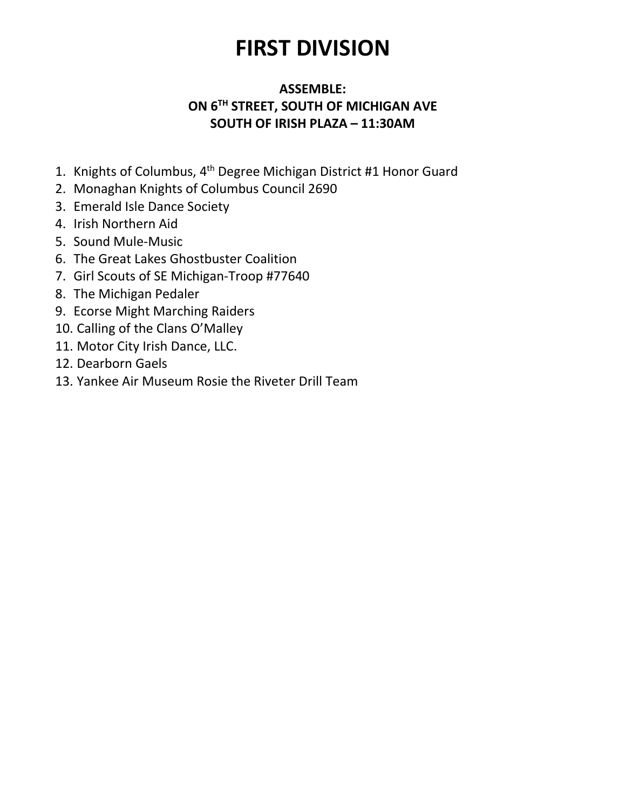# FIRST DIVISION

### ASSEMBLE: ON 6<sup>TH</sup> STREET, SOUTH OF MICHIGAN AVE SOUTH OF IRISH PLAZA – 11:30AM

- 1. Knights of Columbus, 4th Degree Michigan District #1 Honor Guard
- 2. Monaghan Knights of Columbus Council 2690
- 3. Emerald Isle Dance Society
- 4. Irish Northern Aid
- 5. Sound Mule-Music
- 6. The Great Lakes Ghostbuster Coalition
- 7. Girl Scouts of SE Michigan-Troop #77640
- 8. The Michigan Pedaler
- 9. Ecorse Might Marching Raiders
- 10. Calling of the Clans O'Malley
- 11. Motor City Irish Dance, LLC.
- 12. Dearborn Gaels
- 13. Yankee Air Museum Rosie the Riveter Drill Team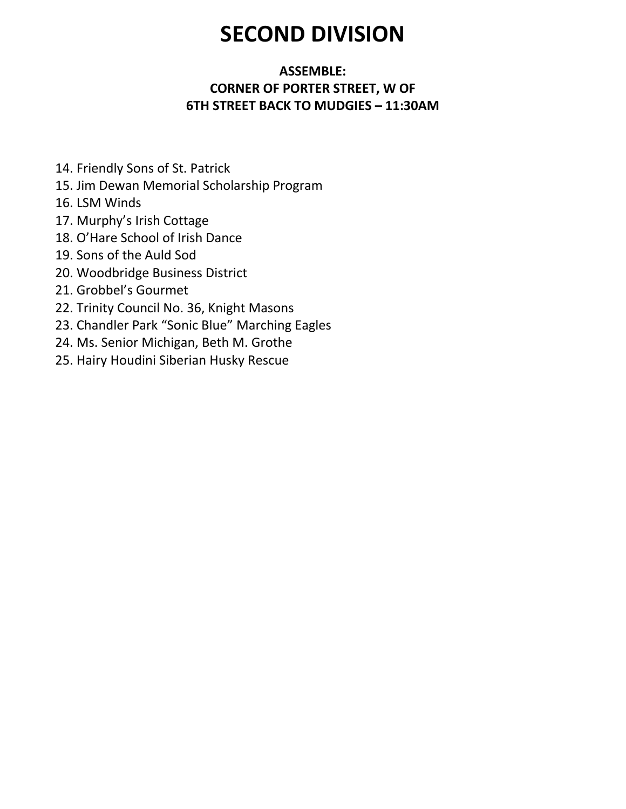## SECOND DIVISION

### ASSEMBLE: CORNER OF PORTER STREET, W OF 6TH STREET BACK TO MUDGIES – 11:30AM

- 14. Friendly Sons of St. Patrick
- 15. Jim Dewan Memorial Scholarship Program
- 16. LSM Winds
- 17. Murphy's Irish Cottage
- 18. O'Hare School of Irish Dance
- 19. Sons of the Auld Sod
- 20. Woodbridge Business District
- 21. Grobbel's Gourmet
- 22. Trinity Council No. 36, Knight Masons
- 23. Chandler Park "Sonic Blue" Marching Eagles
- 24. Ms. Senior Michigan, Beth M. Grothe
- 25. Hairy Houdini Siberian Husky Rescue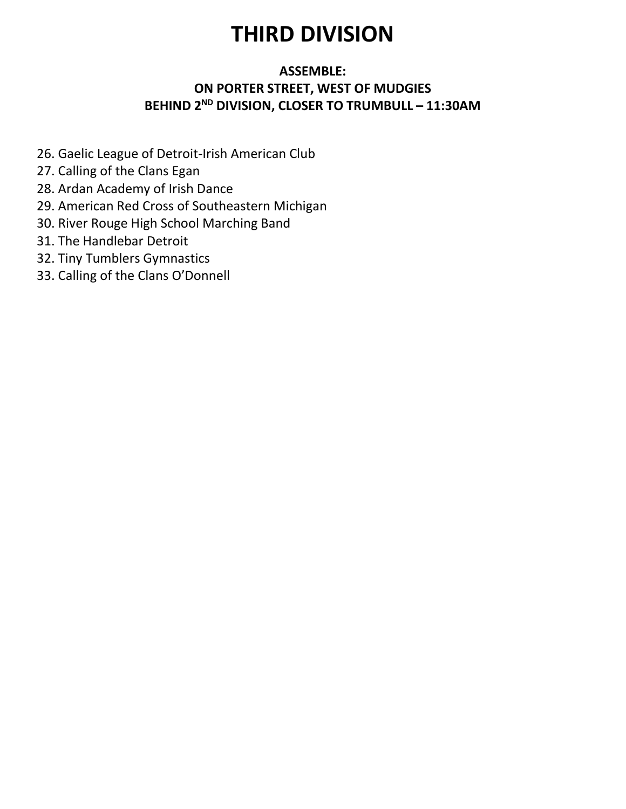## THIRD DIVISION

#### ASSEMBLE: ON PORTER STREET, WEST OF MUDGIES BEHIND 2<sup>ND</sup> DIVISION, CLOSER TO TRUMBULL - 11:30AM

- 26. Gaelic League of Detroit-Irish American Club
- 27. Calling of the Clans Egan
- 28. Ardan Academy of Irish Dance
- 29. American Red Cross of Southeastern Michigan
- 30. River Rouge High School Marching Band
- 31. The Handlebar Detroit
- 32. Tiny Tumblers Gymnastics
- 33. Calling of the Clans O'Donnell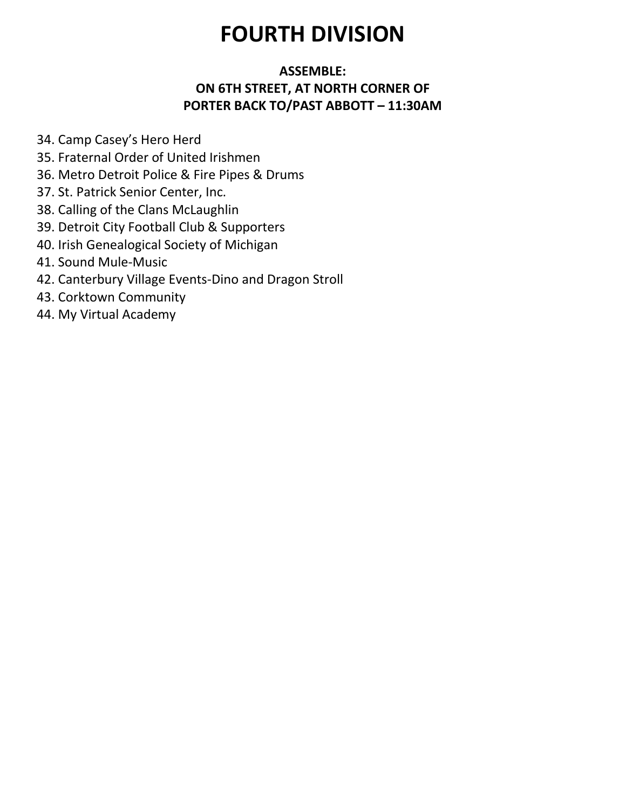# FOURTH DIVISION

### ASSEMBLE: ON 6TH STREET, AT NORTH CORNER OF PORTER BACK TO/PAST ABBOTT – 11:30AM

- 34. Camp Casey's Hero Herd
- 35. Fraternal Order of United Irishmen
- 36. Metro Detroit Police & Fire Pipes & Drums
- 37. St. Patrick Senior Center, Inc.
- 38. Calling of the Clans McLaughlin
- 39. Detroit City Football Club & Supporters
- 40. Irish Genealogical Society of Michigan
- 41. Sound Mule-Music
- 42. Canterbury Village Events-Dino and Dragon Stroll
- 43. Corktown Community
- 44. My Virtual Academy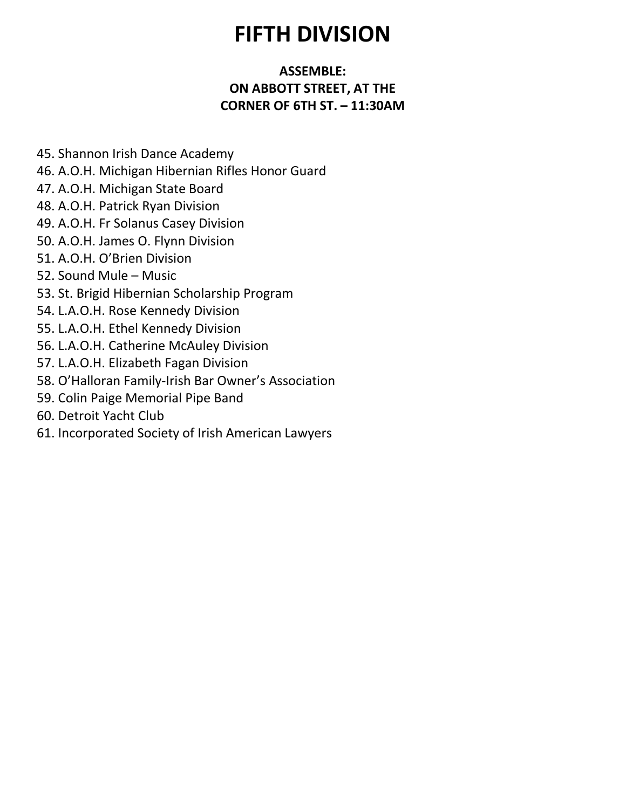## FIFTH DIVISION

### ASSEMBLE: ON ABBOTT STREET, AT THE CORNER OF 6TH ST. – 11:30AM

- 45. Shannon Irish Dance Academy
- 46. A.O.H. Michigan Hibernian Rifles Honor Guard
- 47. A.O.H. Michigan State Board
- 48. A.O.H. Patrick Ryan Division
- 49. A.O.H. Fr Solanus Casey Division
- 50. A.O.H. James O. Flynn Division
- 51. A.O.H. O'Brien Division
- 52. Sound Mule Music
- 53. St. Brigid Hibernian Scholarship Program
- 54. L.A.O.H. Rose Kennedy Division
- 55. L.A.O.H. Ethel Kennedy Division
- 56. L.A.O.H. Catherine McAuley Division
- 57. L.A.O.H. Elizabeth Fagan Division
- 58. O'Halloran Family-Irish Bar Owner's Association
- 59. Colin Paige Memorial Pipe Band
- 60. Detroit Yacht Club
- 61. Incorporated Society of Irish American Lawyers